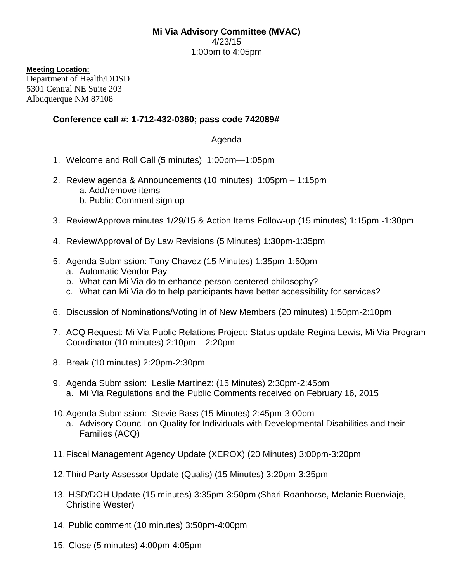## **Mi Via Advisory Committee (MVAC)** 4/23/15 1:00pm to 4:05pm

## **Meeting Location:**

Department of Health/DDSD 5301 Central NE Suite 203 Albuquerque NM 87108

## **Conference call #: 1-712-432-0360; pass code 742089#**

## Agenda

- 1. Welcome and Roll Call (5 minutes) 1:00pm—1:05pm
- 2. Review agenda & Announcements (10 minutes) 1:05pm 1:15pm a. Add/remove items b. Public Comment sign up
- 3. Review/Approve minutes 1/29/15 & Action Items Follow-up (15 minutes) 1:15pm -1:30pm
- 4. Review/Approval of By Law Revisions (5 Minutes) 1:30pm-1:35pm
- 5. Agenda Submission: Tony Chavez (15 Minutes) 1:35pm-1:50pm
	- a. Automatic Vendor Pay
	- b. What can Mi Via do to enhance person-centered philosophy?
	- c. What can Mi Via do to help participants have better accessibility for services?
- 6. Discussion of Nominations/Voting in of New Members (20 minutes) 1:50pm-2:10pm
- 7. ACQ Request: Mi Via Public Relations Project: Status update Regina Lewis, Mi Via Program Coordinator (10 minutes) 2:10pm – 2:20pm
- 8. Break (10 minutes) 2:20pm-2:30pm
- 9. Agenda Submission: Leslie Martinez: (15 Minutes) 2:30pm-2:45pm a. Mi Via Regulations and the Public Comments received on February 16, 2015
- 10.Agenda Submission: Stevie Bass (15 Minutes) 2:45pm-3:00pm a. Advisory Council on Quality for Individuals with Developmental Disabilities and their Families (ACQ)
- 11.Fiscal Management Agency Update (XEROX) (20 Minutes) 3:00pm-3:20pm
- 12.Third Party Assessor Update (Qualis) (15 Minutes) 3:20pm-3:35pm
- 13. HSD/DOH Update (15 minutes) 3:35pm-3:50pm (Shari Roanhorse, Melanie Buenviaje, Christine Wester)
- 14. Public comment (10 minutes) 3:50pm-4:00pm
- 15. Close (5 minutes) 4:00pm-4:05pm